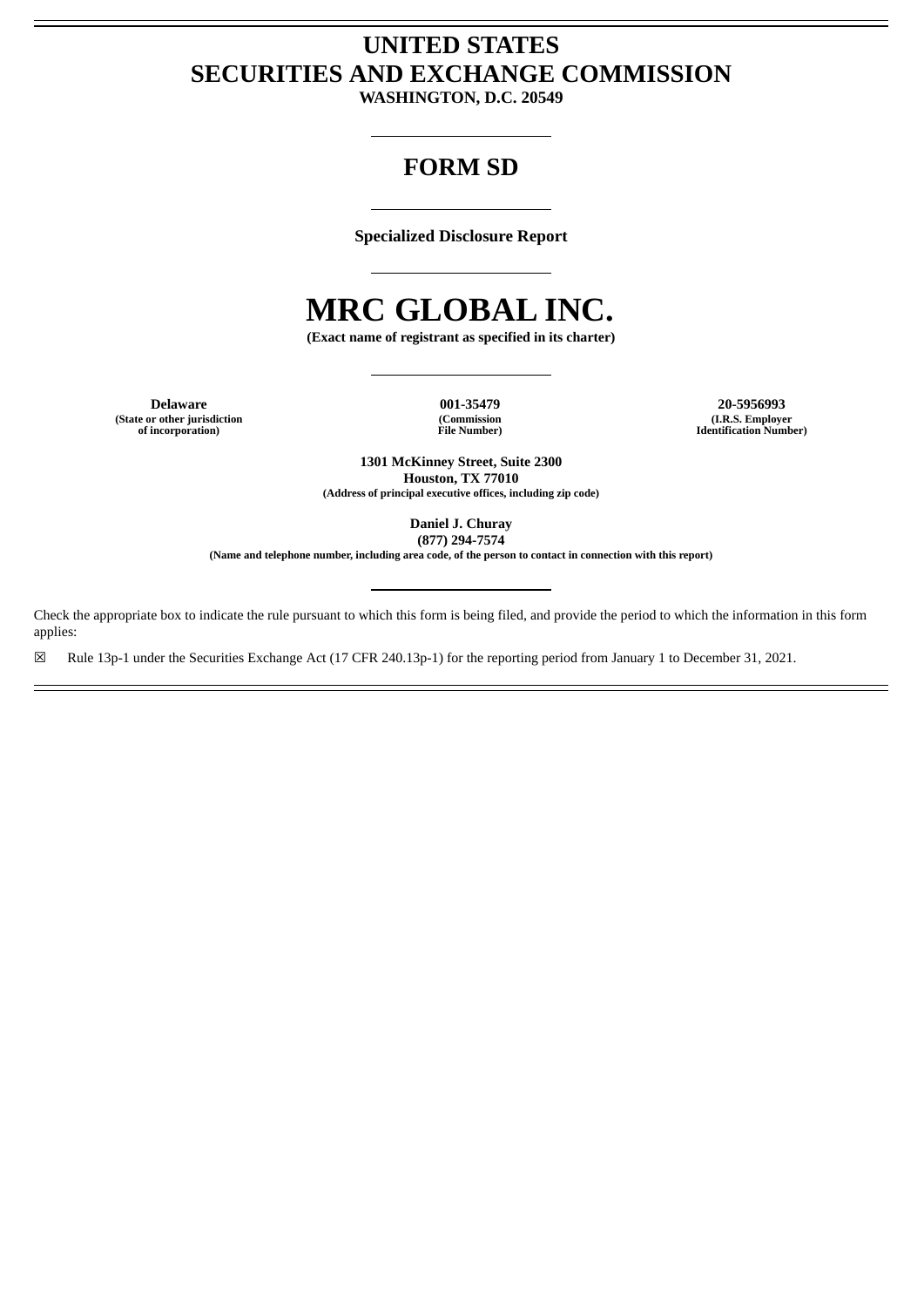# **UNITED STATES SECURITIES AND EXCHANGE COMMISSION**

**WASHINGTON, D.C. 20549**

## **FORM SD**

**Specialized Disclosure Report**

# **MRC GLOBAL INC.**

**(Exact name of registrant as specified in its charter)**

**(State or other jurisdiction of incorporation)**

**(Commission File Number)**

**Delaware 001-35479 20-5956993 (I.R.S. Employer Identification Number)**

> **1301 McKinney Street, Suite 2300 Houston, TX 77010 (Address of principal executive offices, including zip code)**

> > **Daniel J. Churay (877) 294-7574**

**(Name and telephone number, including area code, of the person to contact in connection with this report)**

Check the appropriate box to indicate the rule pursuant to which this form is being filed, and provide the period to which the information in this form applies:

☒ Rule 13p-1 under the Securities Exchange Act (17 CFR 240.13p-1) for the reporting period from January 1 to December 31, 2021.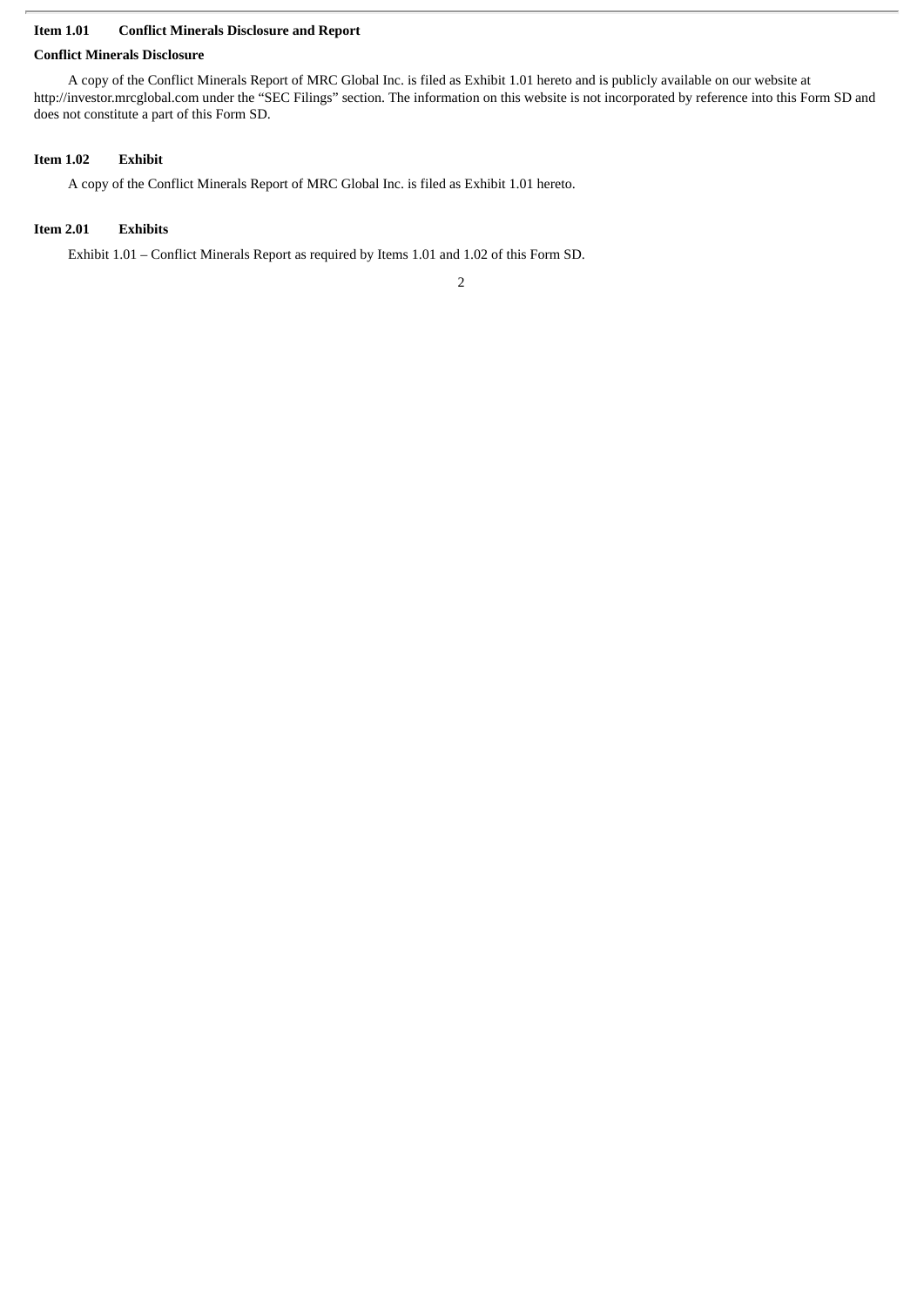#### **Item 1.01 Conflict Minerals Disclosure and Report**

#### **Conflict Minerals Disclosure**

A copy of the Conflict Minerals Report of MRC Global Inc. is filed as Exhibit 1.01 hereto and is publicly available on our website at http://investor.mrcglobal.com under the "SEC Filings" section. The information on this website is not incorporated by reference into this Form SD and does not constitute a part of this Form SD.

#### **Item 1.02 Exhibit**

A copy of the Conflict Minerals Report of MRC Global Inc. is filed as Exhibit 1.01 hereto.

#### **Item 2.01 Exhibits**

Exhibit 1.01 – Conflict Minerals Report as required by Items 1.01 and 1.02 of this Form SD.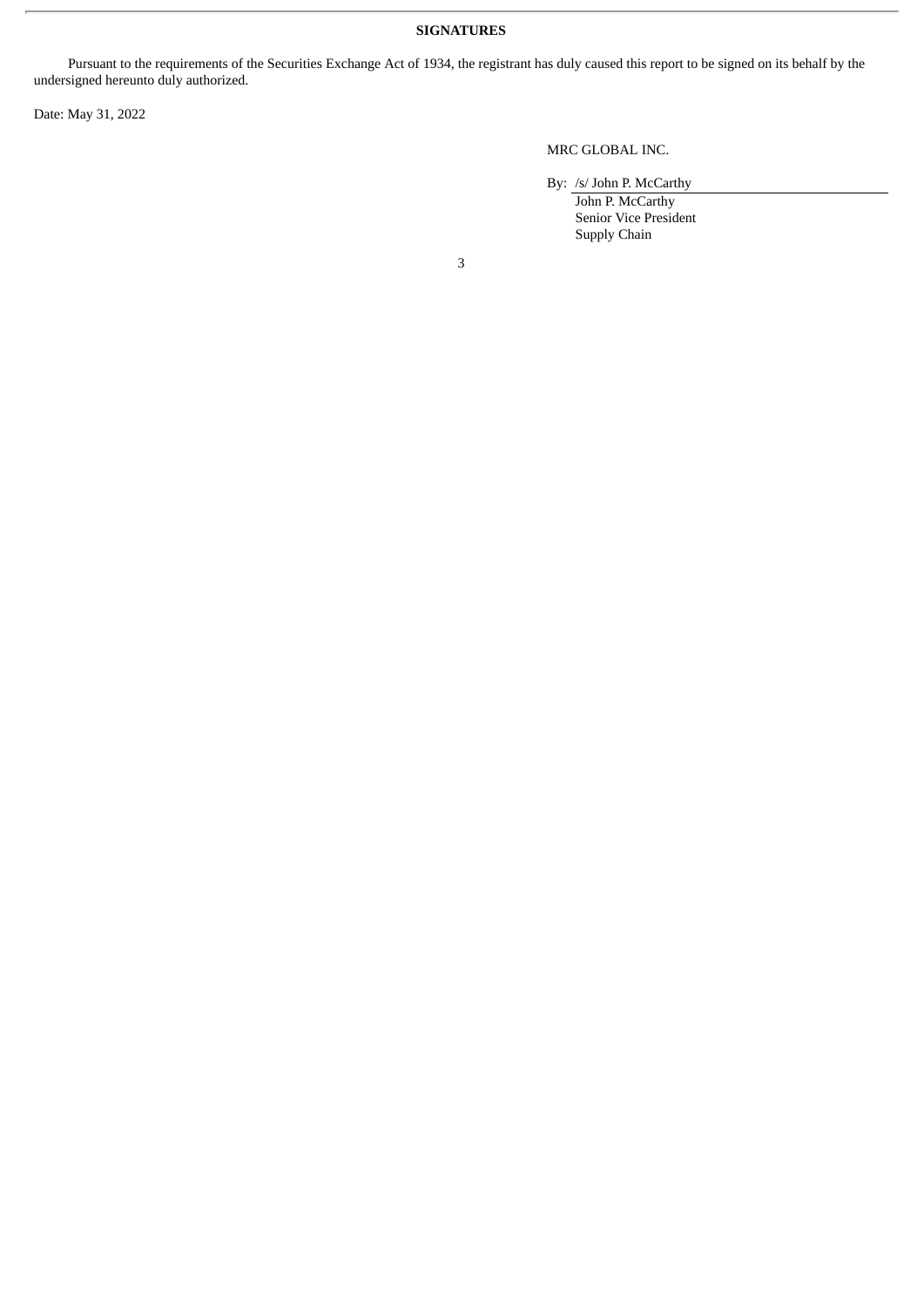#### **SIGNATURES**

Pursuant to the requirements of the Securities Exchange Act of 1934, the registrant has duly caused this report to be signed on its behalf by the undersigned hereunto duly authorized.

Date: May 31, 2022

### MRC GLOBAL INC.

By: /s/ John P. McCarthy

John P. McCarthy Senior Vice President Supply Chain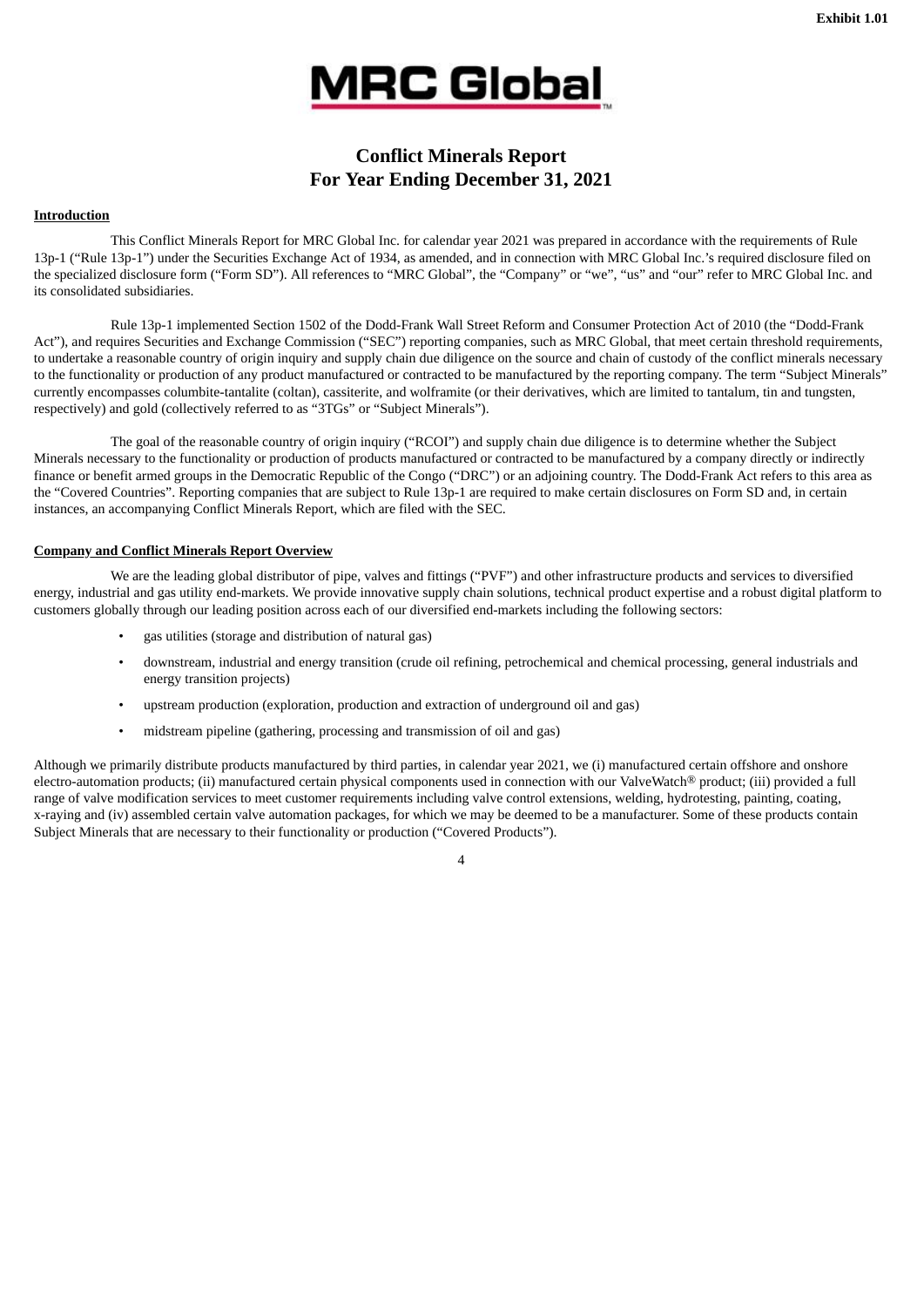

## **Conflict Minerals Report For Year Ending December 31, 2021**

#### **Introduction**

This Conflict Minerals Report for MRC Global Inc. for calendar year 2021 was prepared in accordance with the requirements of Rule 13p-1 ("Rule 13p-1") under the Securities Exchange Act of 1934, as amended, and in connection with MRC Global Inc.'s required disclosure filed on the specialized disclosure form ("Form SD"). All references to "MRC Global", the "Company" or "we", "us" and "our" refer to MRC Global Inc. and its consolidated subsidiaries.

Rule 13p-1 implemented Section 1502 of the Dodd-Frank Wall Street Reform and Consumer Protection Act of 2010 (the "Dodd-Frank Act"), and requires Securities and Exchange Commission ("SEC") reporting companies, such as MRC Global, that meet certain threshold requirements, to undertake a reasonable country of origin inquiry and supply chain due diligence on the source and chain of custody of the conflict minerals necessary to the functionality or production of any product manufactured or contracted to be manufactured by the reporting company. The term "Subject Minerals" currently encompasses columbite-tantalite (coltan), cassiterite, and wolframite (or their derivatives, which are limited to tantalum, tin and tungsten, respectively) and gold (collectively referred to as "3TGs" or "Subject Minerals").

The goal of the reasonable country of origin inquiry ("RCOI") and supply chain due diligence is to determine whether the Subject Minerals necessary to the functionality or production of products manufactured or contracted to be manufactured by a company directly or indirectly finance or benefit armed groups in the Democratic Republic of the Congo ("DRC") or an adjoining country. The Dodd-Frank Act refers to this area as the "Covered Countries". Reporting companies that are subject to Rule 13p-1 are required to make certain disclosures on Form SD and, in certain instances, an accompanying Conflict Minerals Report, which are filed with the SEC.

#### **Company and Conflict Minerals Report Overview**

We are the leading global distributor of pipe, valves and fittings ("PVF") and other infrastructure products and services to diversified energy, industrial and gas utility end-markets. We provide innovative supply chain solutions, technical product expertise and a robust digital platform to customers globally through our leading position across each of our diversified end-markets including the following sectors:

- gas utilities (storage and distribution of natural gas)
- downstream, industrial and energy transition (crude oil refining, petrochemical and chemical processing, general industrials and energy transition projects)
- upstream production (exploration, production and extraction of underground oil and gas)
- midstream pipeline (gathering, processing and transmission of oil and gas)

Although we primarily distribute products manufactured by third parties, in calendar year 2021, we (i) manufactured certain offshore and onshore electro-automation products; (ii) manufactured certain physical components used in connection with our ValveWatch® product; (iii) provided a full range of valve modification services to meet customer requirements including valve control extensions, welding, hydrotesting, painting, coating, x-raying and (iv) assembled certain valve automation packages, for which we may be deemed to be a manufacturer. Some of these products contain Subject Minerals that are necessary to their functionality or production ("Covered Products").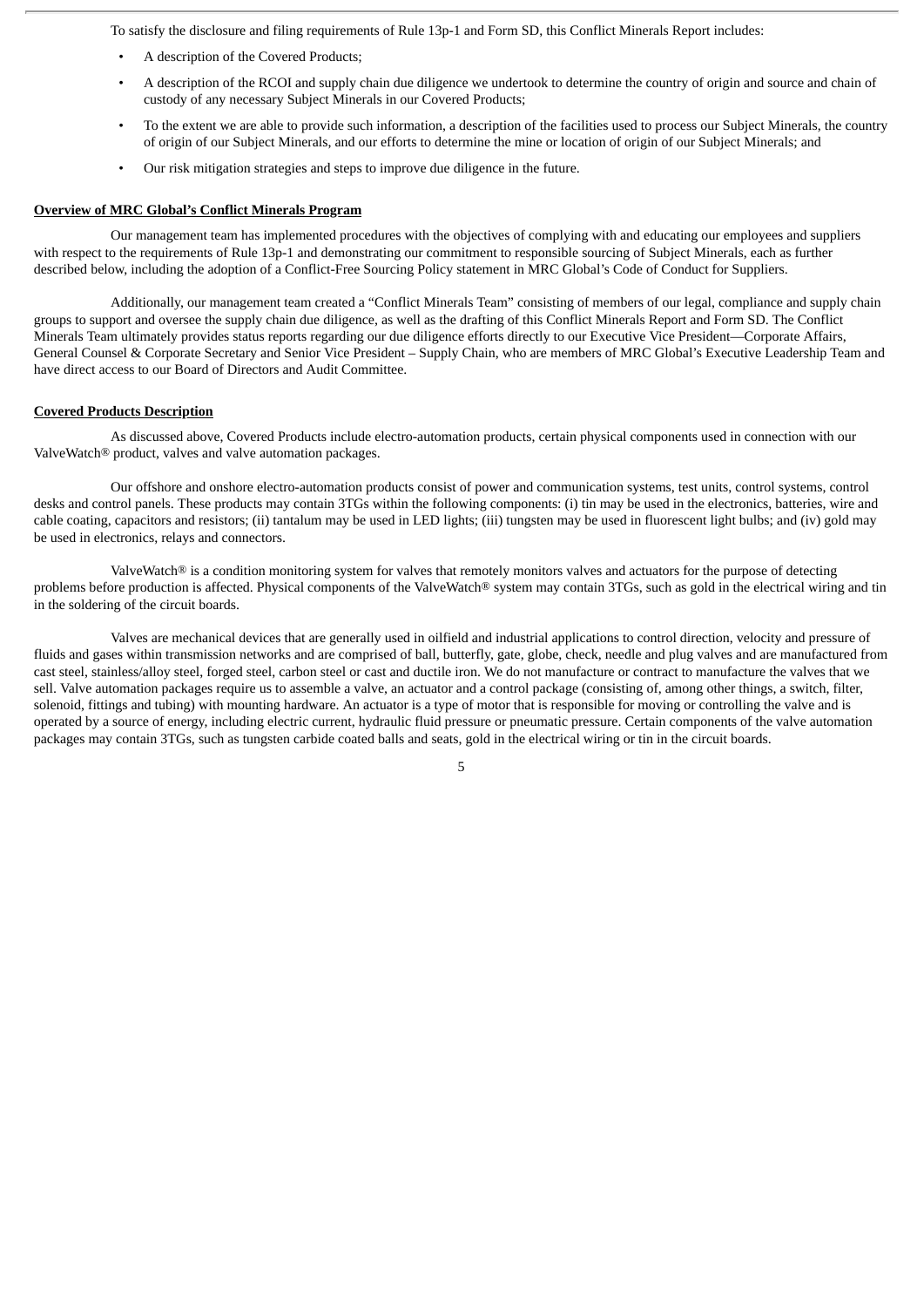To satisfy the disclosure and filing requirements of Rule 13p-1 and Form SD, this Conflict Minerals Report includes:

- A description of the Covered Products;
- A description of the RCOI and supply chain due diligence we undertook to determine the country of origin and source and chain of custody of any necessary Subject Minerals in our Covered Products;
- To the extent we are able to provide such information, a description of the facilities used to process our Subject Minerals, the country of origin of our Subject Minerals, and our efforts to determine the mine or location of origin of our Subject Minerals; and
- Our risk mitigation strategies and steps to improve due diligence in the future.

#### **Overview of MRC Global's Conflict Minerals Program**

Our management team has implemented procedures with the objectives of complying with and educating our employees and suppliers with respect to the requirements of Rule 13p-1 and demonstrating our commitment to responsible sourcing of Subject Minerals, each as further described below, including the adoption of a Conflict-Free Sourcing Policy statement in MRC Global's Code of Conduct for Suppliers.

Additionally, our management team created a "Conflict Minerals Team" consisting of members of our legal, compliance and supply chain groups to support and oversee the supply chain due diligence, as well as the drafting of this Conflict Minerals Report and Form SD. The Conflict Minerals Team ultimately provides status reports regarding our due diligence efforts directly to our Executive Vice President—Corporate Affairs, General Counsel & Corporate Secretary and Senior Vice President – Supply Chain, who are members of MRC Global's Executive Leadership Team and have direct access to our Board of Directors and Audit Committee.

#### **Covered Products Description**

As discussed above, Covered Products include electro-automation products, certain physical components used in connection with our ValveWatch® product, valves and valve automation packages.

Our offshore and onshore electro-automation products consist of power and communication systems, test units, control systems, control desks and control panels. These products may contain 3TGs within the following components: (i) tin may be used in the electronics, batteries, wire and cable coating, capacitors and resistors; (ii) tantalum may be used in LED lights; (iii) tungsten may be used in fluorescent light bulbs; and (iv) gold may be used in electronics, relays and connectors.

ValveWatch® is a condition monitoring system for valves that remotely monitors valves and actuators for the purpose of detecting problems before production is affected. Physical components of the ValveWatch® system may contain 3TGs, such as gold in the electrical wiring and tin in the soldering of the circuit boards.

Valves are mechanical devices that are generally used in oilfield and industrial applications to control direction, velocity and pressure of fluids and gases within transmission networks and are comprised of ball, butterfly, gate, globe, check, needle and plug valves and are manufactured from cast steel, stainless/alloy steel, forged steel, carbon steel or cast and ductile iron. We do not manufacture or contract to manufacture the valves that we sell. Valve automation packages require us to assemble a valve, an actuator and a control package (consisting of, among other things, a switch, filter, solenoid, fittings and tubing) with mounting hardware. An actuator is a type of motor that is responsible for moving or controlling the valve and is operated by a source of energy, including electric current, hydraulic fluid pressure or pneumatic pressure. Certain components of the valve automation packages may contain 3TGs, such as tungsten carbide coated balls and seats, gold in the electrical wiring or tin in the circuit boards.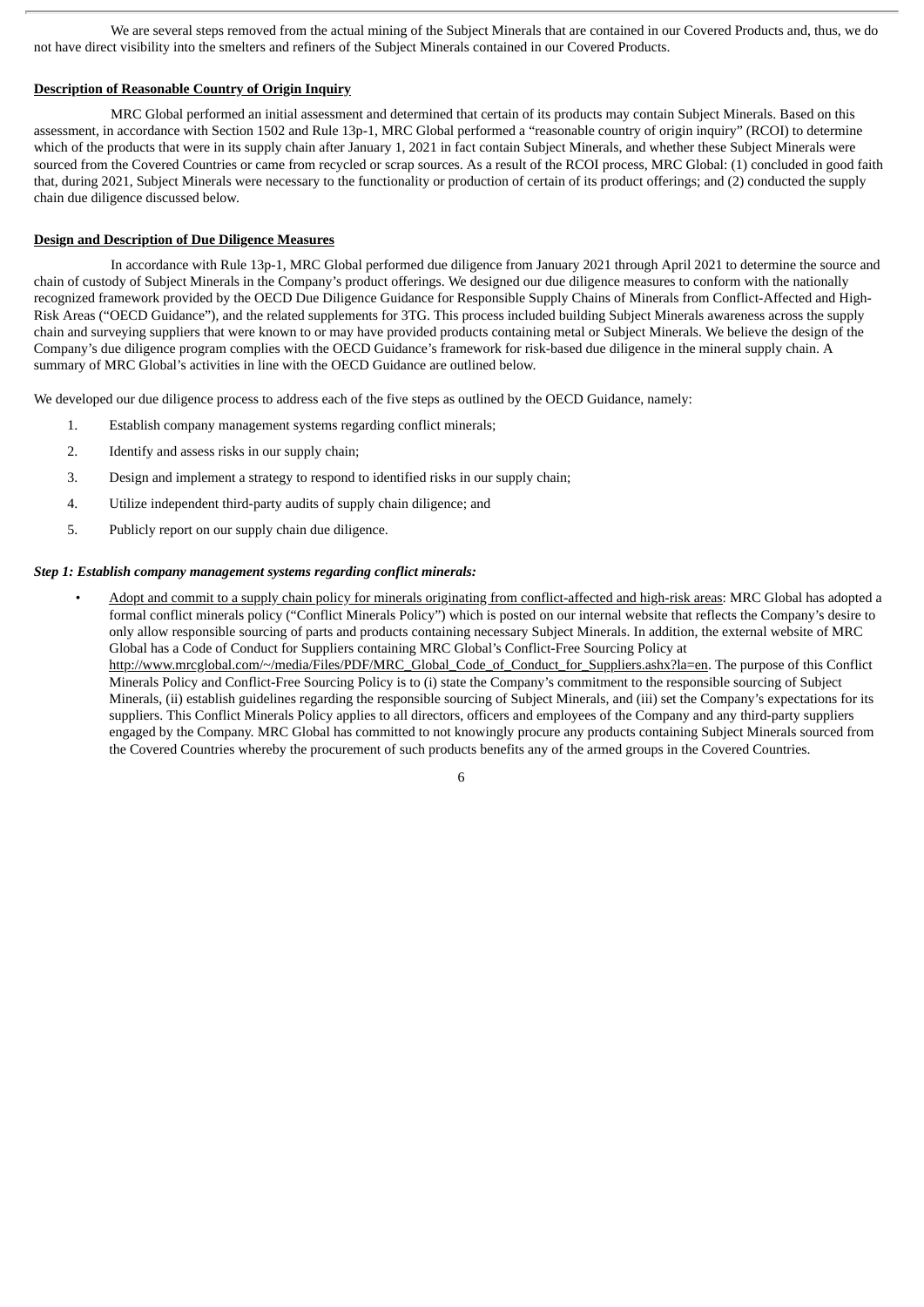We are several steps removed from the actual mining of the Subject Minerals that are contained in our Covered Products and, thus, we do not have direct visibility into the smelters and refiners of the Subject Minerals contained in our Covered Products.

#### **Description of Reasonable Country of Origin Inquiry**

MRC Global performed an initial assessment and determined that certain of its products may contain Subject Minerals. Based on this assessment, in accordance with Section 1502 and Rule 13p-1, MRC Global performed a "reasonable country of origin inquiry" (RCOI) to determine which of the products that were in its supply chain after January 1, 2021 in fact contain Subject Minerals, and whether these Subject Minerals were sourced from the Covered Countries or came from recycled or scrap sources. As a result of the RCOI process, MRC Global: (1) concluded in good faith that, during 2021, Subject Minerals were necessary to the functionality or production of certain of its product offerings; and (2) conducted the supply chain due diligence discussed below.

#### **Design and Description of Due Diligence Measures**

In accordance with Rule 13p-1, MRC Global performed due diligence from January 2021 through April 2021 to determine the source and chain of custody of Subject Minerals in the Company's product offerings. We designed our due diligence measures to conform with the nationally recognized framework provided by the OECD Due Diligence Guidance for Responsible Supply Chains of Minerals from Conflict-Affected and High-Risk Areas ("OECD Guidance"), and the related supplements for 3TG. This process included building Subject Minerals awareness across the supply chain and surveying suppliers that were known to or may have provided products containing metal or Subject Minerals. We believe the design of the Company's due diligence program complies with the OECD Guidance's framework for risk-based due diligence in the mineral supply chain. A summary of MRC Global's activities in line with the OECD Guidance are outlined below.

We developed our due diligence process to address each of the five steps as outlined by the OECD Guidance, namely:

- 1. Establish company management systems regarding conflict minerals;
- 2. Identify and assess risks in our supply chain;
- 3. Design and implement a strategy to respond to identified risks in our supply chain;
- 4. Utilize independent third-party audits of supply chain diligence; and
- 5. Publicly report on our supply chain due diligence.

#### *Step 1: Establish company management systems regarding conflict minerals:*

Adopt and commit to a supply chain policy for minerals originating from conflict-affected and high-risk areas: MRC Global has adopted a formal conflict minerals policy ("Conflict Minerals Policy") which is posted on our internal website that reflects the Company's desire to only allow responsible sourcing of parts and products containing necessary Subject Minerals. In addition, the external website of MRC Global has a Code of Conduct for Suppliers containing MRC Global's Conflict-Free Sourcing Policy at http://www.mrcglobal.com/~/media/Files/PDF/MRC\_Global\_Code\_of\_Conduct\_for\_Suppliers.ashx?la=en. The purpose of this Conflict Minerals Policy and Conflict-Free Sourcing Policy is to (i) state the Company's commitment to the responsible sourcing of Subject Minerals, (ii) establish guidelines regarding the responsible sourcing of Subject Minerals, and (iii) set the Company's expectations for its suppliers. This Conflict Minerals Policy applies to all directors, officers and employees of the Company and any third-party suppliers engaged by the Company. MRC Global has committed to not knowingly procure any products containing Subject Minerals sourced from the Covered Countries whereby the procurement of such products benefits any of the armed groups in the Covered Countries.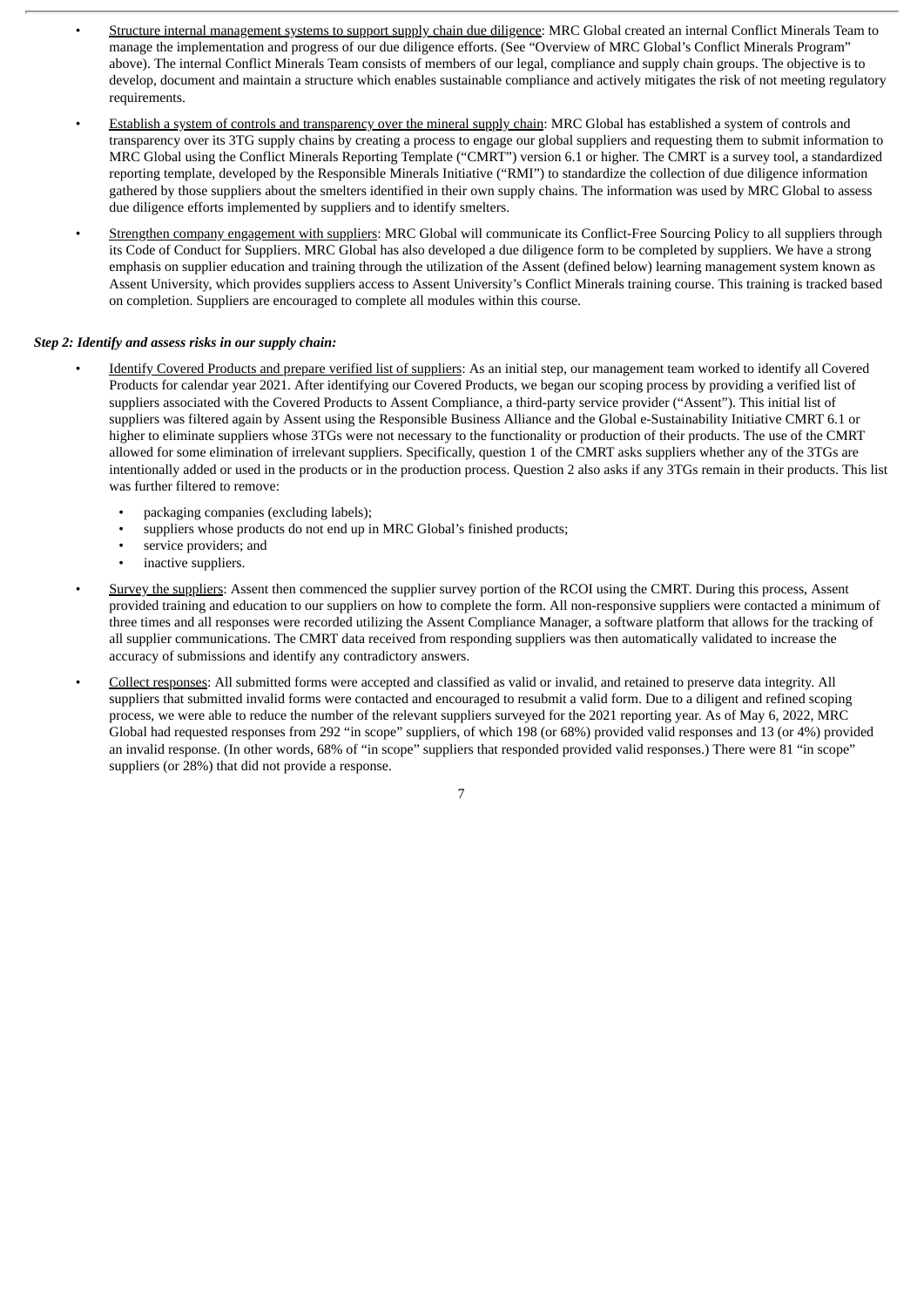- Structure internal management systems to support supply chain due diligence: MRC Global created an internal Conflict Minerals Team to manage the implementation and progress of our due diligence efforts. (See "Overview of MRC Global's Conflict Minerals Program" above). The internal Conflict Minerals Team consists of members of our legal, compliance and supply chain groups. The objective is to develop, document and maintain a structure which enables sustainable compliance and actively mitigates the risk of not meeting regulatory requirements.
- Establish a system of controls and transparency over the mineral supply chain: MRC Global has established a system of controls and transparency over its 3TG supply chains by creating a process to engage our global suppliers and requesting them to submit information to MRC Global using the Conflict Minerals Reporting Template ("CMRT") version 6.1 or higher. The CMRT is a survey tool, a standardized reporting template, developed by the Responsible Minerals Initiative ("RMI") to standardize the collection of due diligence information gathered by those suppliers about the smelters identified in their own supply chains. The information was used by MRC Global to assess due diligence efforts implemented by suppliers and to identify smelters.
- Strengthen company engagement with suppliers: MRC Global will communicate its Conflict-Free Sourcing Policy to all suppliers through its Code of Conduct for Suppliers. MRC Global has also developed a due diligence form to be completed by suppliers. We have a strong emphasis on supplier education and training through the utilization of the Assent (defined below) learning management system known as Assent University, which provides suppliers access to Assent University's Conflict Minerals training course. This training is tracked based on completion. Suppliers are encouraged to complete all modules within this course.

#### *Step 2: Identify and assess risks in our supply chain:*

- Identify Covered Products and prepare verified list of suppliers: As an initial step, our management team worked to identify all Covered Products for calendar year 2021. After identifying our Covered Products, we began our scoping process by providing a verified list of suppliers associated with the Covered Products to Assent Compliance, a third-party service provider ("Assent"). This initial list of suppliers was filtered again by Assent using the Responsible Business Alliance and the Global e-Sustainability Initiative CMRT 6.1 or higher to eliminate suppliers whose 3TGs were not necessary to the functionality or production of their products. The use of the CMRT allowed for some elimination of irrelevant suppliers. Specifically, question 1 of the CMRT asks suppliers whether any of the 3TGs are intentionally added or used in the products or in the production process. Question 2 also asks if any 3TGs remain in their products. This list was further filtered to remove:
	- packaging companies (excluding labels);
	- suppliers whose products do not end up in MRC Global's finished products;
	- service providers; and
	- inactive suppliers.
- Survey the suppliers: Assent then commenced the supplier survey portion of the RCOI using the CMRT. During this process. Assent provided training and education to our suppliers on how to complete the form. All non-responsive suppliers were contacted a minimum of three times and all responses were recorded utilizing the Assent Compliance Manager, a software platform that allows for the tracking of all supplier communications. The CMRT data received from responding suppliers was then automatically validated to increase the accuracy of submissions and identify any contradictory answers.
- Collect responses: All submitted forms were accepted and classified as valid or invalid, and retained to preserve data integrity. All suppliers that submitted invalid forms were contacted and encouraged to resubmit a valid form. Due to a diligent and refined scoping process, we were able to reduce the number of the relevant suppliers surveyed for the 2021 reporting year. As of May 6, 2022, MRC Global had requested responses from 292 "in scope" suppliers, of which 198 (or 68%) provided valid responses and 13 (or 4%) provided an invalid response. (In other words, 68% of "in scope" suppliers that responded provided valid responses.) There were 81 "in scope" suppliers (or 28%) that did not provide a response.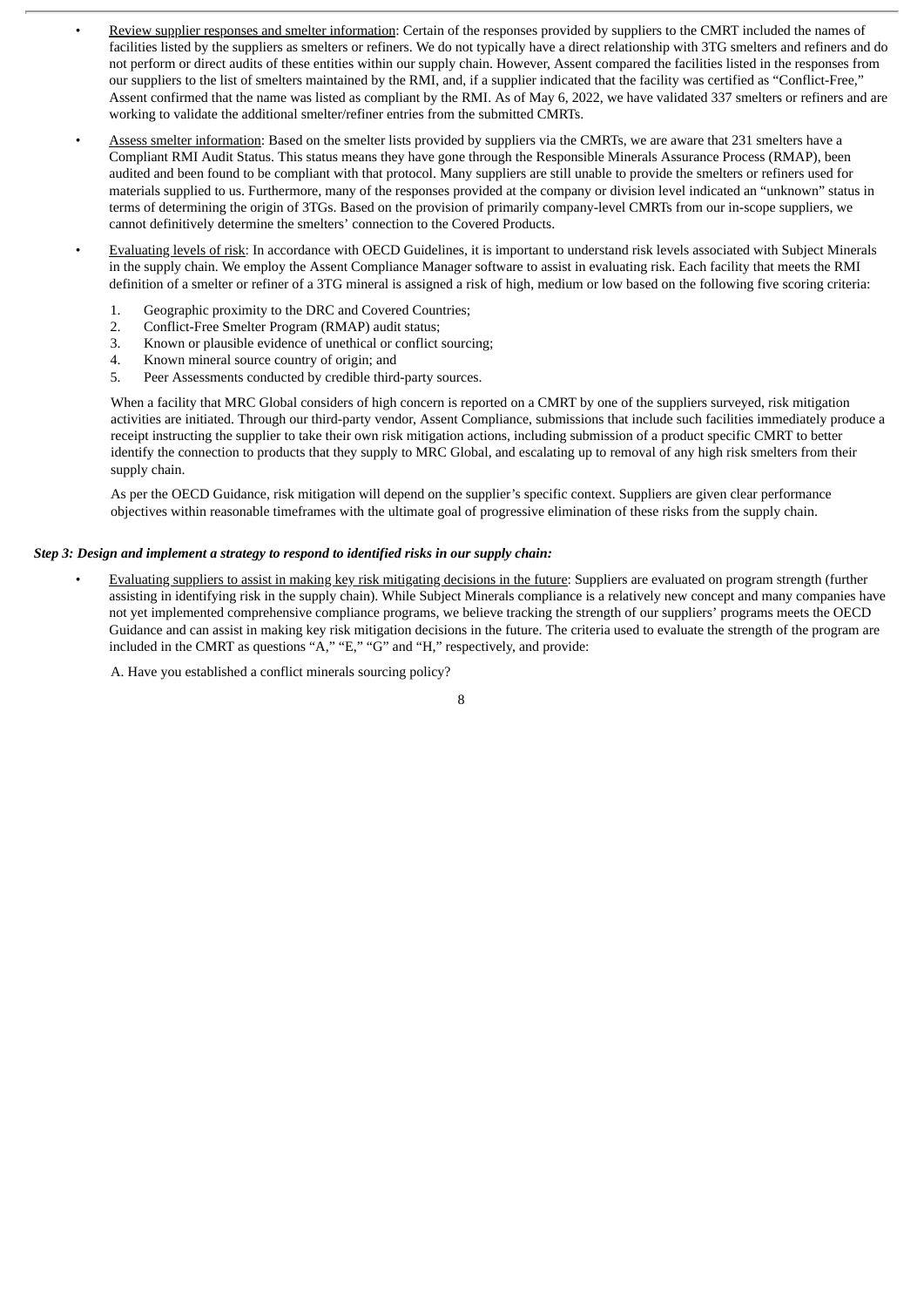- Review supplier responses and smelter information: Certain of the responses provided by suppliers to the CMRT included the names of facilities listed by the suppliers as smelters or refiners. We do not typically have a direct relationship with 3TG smelters and refiners and do not perform or direct audits of these entities within our supply chain. However, Assent compared the facilities listed in the responses from our suppliers to the list of smelters maintained by the RMI, and, if a supplier indicated that the facility was certified as "Conflict-Free," Assent confirmed that the name was listed as compliant by the RMI. As of May 6, 2022, we have validated 337 smelters or refiners and are working to validate the additional smelter/refiner entries from the submitted CMRTs.
- Assess smelter information: Based on the smelter lists provided by suppliers via the CMRTs, we are aware that 231 smelters have a Compliant RMI Audit Status. This status means they have gone through the Responsible Minerals Assurance Process (RMAP), been audited and been found to be compliant with that protocol. Many suppliers are still unable to provide the smelters or refiners used for materials supplied to us. Furthermore, many of the responses provided at the company or division level indicated an "unknown" status in terms of determining the origin of 3TGs. Based on the provision of primarily company-level CMRTs from our in-scope suppliers, we cannot definitively determine the smelters' connection to the Covered Products.
- Evaluating levels of risk: In accordance with OECD Guidelines, it is important to understand risk levels associated with Subject Minerals in the supply chain. We employ the Assent Compliance Manager software to assist in evaluating risk. Each facility that meets the RMI definition of a smelter or refiner of a 3TG mineral is assigned a risk of high, medium or low based on the following five scoring criteria:
	- 1. Geographic proximity to the DRC and Covered Countries;
	- 2. Conflict-Free Smelter Program (RMAP) audit status;
	- 3. Known or plausible evidence of unethical or conflict sourcing;
	- 4. Known mineral source country of origin; and
	- 5. Peer Assessments conducted by credible third-party sources.

When a facility that MRC Global considers of high concern is reported on a CMRT by one of the suppliers surveyed, risk mitigation activities are initiated. Through our third-party vendor, Assent Compliance, submissions that include such facilities immediately produce a receipt instructing the supplier to take their own risk mitigation actions, including submission of a product specific CMRT to better identify the connection to products that they supply to MRC Global, and escalating up to removal of any high risk smelters from their supply chain.

As per the OECD Guidance, risk mitigation will depend on the supplier's specific context. Suppliers are given clear performance objectives within reasonable timeframes with the ultimate goal of progressive elimination of these risks from the supply chain.

#### *Step 3: Design and implement a strategy to respond to identified risks in our supply chain:*

• Evaluating suppliers to assist in making key risk mitigating decisions in the future: Suppliers are evaluated on program strength (further assisting in identifying risk in the supply chain). While Subject Minerals compliance is a relatively new concept and many companies have not yet implemented comprehensive compliance programs, we believe tracking the strength of our suppliers' programs meets the OECD Guidance and can assist in making key risk mitigation decisions in the future. The criteria used to evaluate the strength of the program are included in the CMRT as questions "A," "E," "G" and "H," respectively, and provide:

A. Have you established a conflict minerals sourcing policy?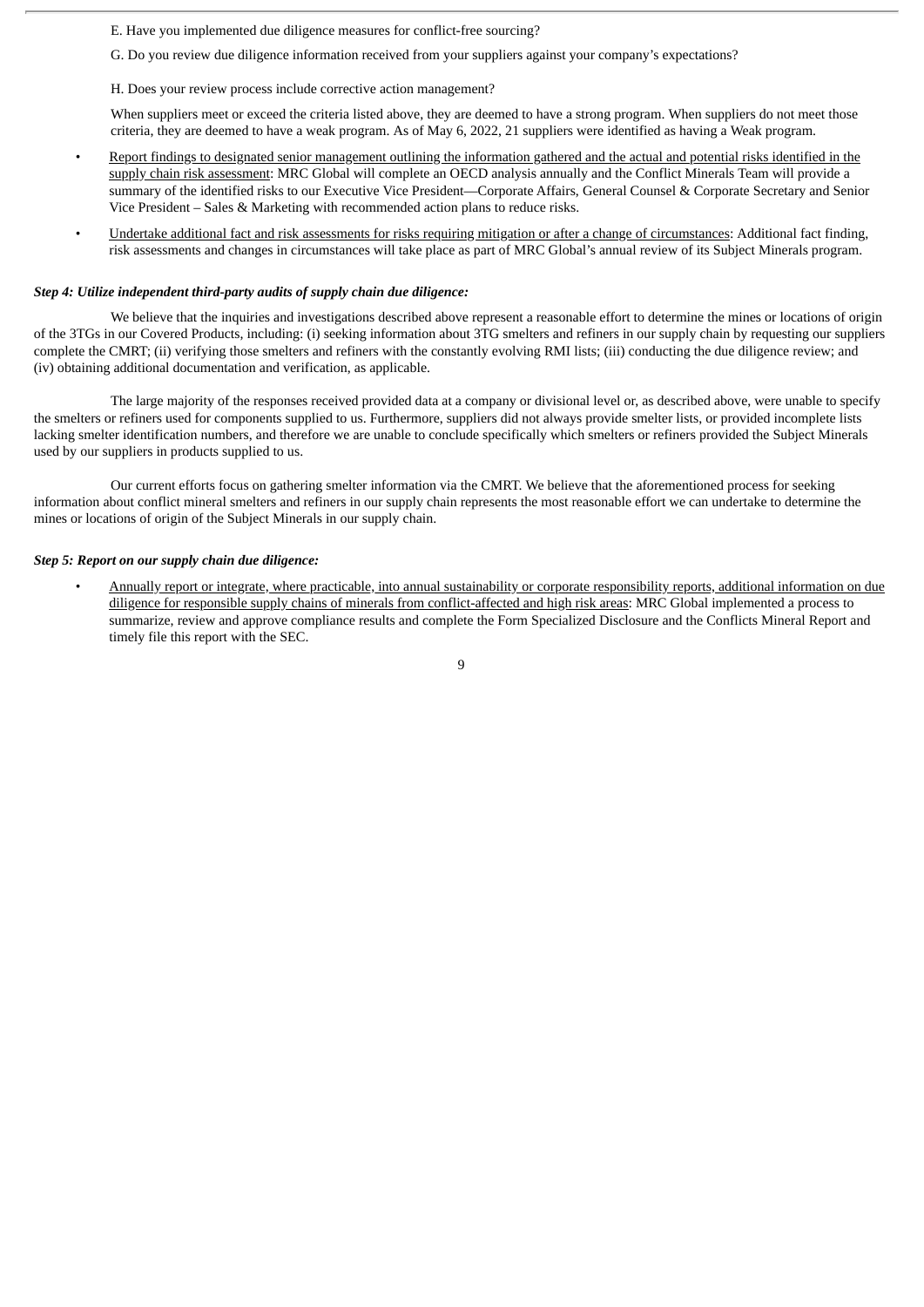- E. Have you implemented due diligence measures for conflict-free sourcing?
- G. Do you review due diligence information received from your suppliers against your company's expectations?
- H. Does your review process include corrective action management?

When suppliers meet or exceed the criteria listed above, they are deemed to have a strong program. When suppliers do not meet those criteria, they are deemed to have a weak program. As of May 6, 2022, 21 suppliers were identified as having a Weak program.

- Report findings to designated senior management outlining the information gathered and the actual and potential risks identified in the supply chain risk assessment: MRC Global will complete an OECD analysis annually and the Conflict Minerals Team will provide a summary of the identified risks to our Executive Vice President—Corporate Affairs, General Counsel & Corporate Secretary and Senior Vice President – Sales & Marketing with recommended action plans to reduce risks.
- Undertake additional fact and risk assessments for risks requiring mitigation or after a change of circumstances: Additional fact finding, risk assessments and changes in circumstances will take place as part of MRC Global's annual review of its Subject Minerals program.

#### *Step 4: Utilize independent third-party audits of supply chain due diligence:*

We believe that the inquiries and investigations described above represent a reasonable effort to determine the mines or locations of origin of the 3TGs in our Covered Products, including: (i) seeking information about 3TG smelters and refiners in our supply chain by requesting our suppliers complete the CMRT; (ii) verifying those smelters and refiners with the constantly evolving RMI lists; (iii) conducting the due diligence review; and (iv) obtaining additional documentation and verification, as applicable.

The large majority of the responses received provided data at a company or divisional level or, as described above, were unable to specify the smelters or refiners used for components supplied to us. Furthermore, suppliers did not always provide smelter lists, or provided incomplete lists lacking smelter identification numbers, and therefore we are unable to conclude specifically which smelters or refiners provided the Subject Minerals used by our suppliers in products supplied to us.

Our current efforts focus on gathering smelter information via the CMRT. We believe that the aforementioned process for seeking information about conflict mineral smelters and refiners in our supply chain represents the most reasonable effort we can undertake to determine the mines or locations of origin of the Subject Minerals in our supply chain.

#### *Step 5: Report on our supply chain due diligence:*

• Annually report or integrate, where practicable, into annual sustainability or corporate responsibility reports, additional information on due diligence for responsible supply chains of minerals from conflict-affected and high risk areas: MRC Global implemented a process to summarize, review and approve compliance results and complete the Form Specialized Disclosure and the Conflicts Mineral Report and timely file this report with the SEC.